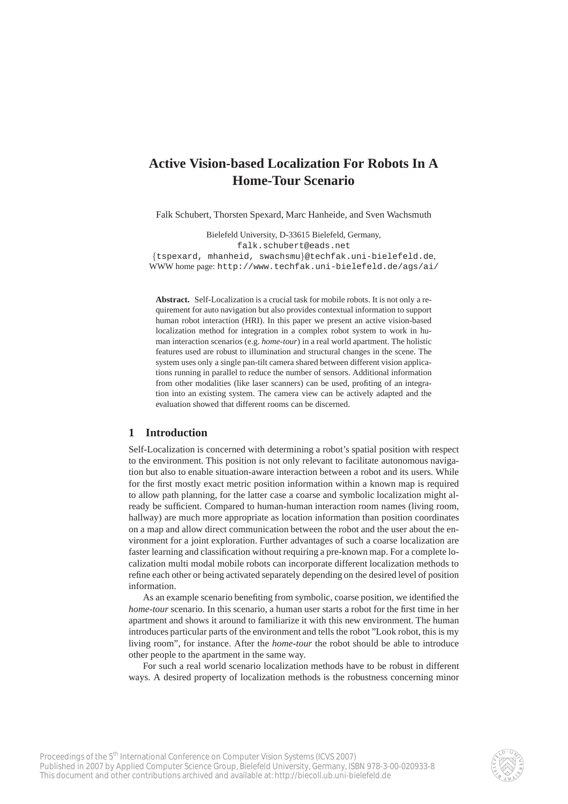# **Active Vision-based Localization For Robots In A Home-Tour Scenario**

Falk Schubert, Thorsten Spexard, Marc Hanheide, and Sven Wachsmuth

Bielefeld University, D-33615 Bielefeld, Germany, falk.schubert@eads.net

{tspexard, mhanheid, swachsmu}@techfak.uni-bielefeld.de, WWW home page: http://www.techfak.uni-bielefeld.de/ags/ai/

**Abstract.** Self-Localization is a crucial task for mobile robots. It is not only a requirement for auto navigation but also provides contextual information to support human robot interaction (HRI). In this paper we present an active vision-based localization method for integration in a complex robot system to work in human interaction scenarios (e.g. *home-tour*) in a real world apartment. The holistic features used are robust to illumination and structural changes in the scene. The system uses only a single pan-tilt camera shared between different vision applications running in parallel to reduce the number of sensors. Additional information from other modalities (like laser scanners) can be used, profiting of an integration into an existing system. The camera view can be actively adapted and the evaluation showed that different rooms can be discerned.

# **1 Introduction**

Self-Localization is concerned with determining a robot's spatial position with respect to the environment. This position is not only relevant to facilitate autonomous navigation but also to enable situation-aware interaction between a robot and its users. While for the first mostly exact metric position information within a known map is required to allow path planning, for the latter case a coarse and symbolic localization might already be sufficient. Compared to human-human interaction room names (living room, hallway) are much more appropriate as location information than position coordinates on a map and allow direct communication between the robot and the user about the environment for a joint exploration. Further advantages of such a coarse localization are faster learning and classification without requiring a pre-known map. For a complete localization multi modal mobile robots can incorporate different localization methods to refine each other or being activated separately depending on the desired level of position information.

As an example scenario benefiting from symbolic, coarse position, we identified the *home-tour* scenario. In this scenario, a human user starts a robot for the first time in her apartment and shows it around to familiarize it with this new environment. The human introduces particular parts of the environment and tells the robot "Look robot, this is my living room", for instance. After the *home-tour* the robot should be able to introduce other people to the apartment in the same way.

For such a real world scenario localization methods have to be robust in different ways. A desired property of localization methods is the robustness concerning minor

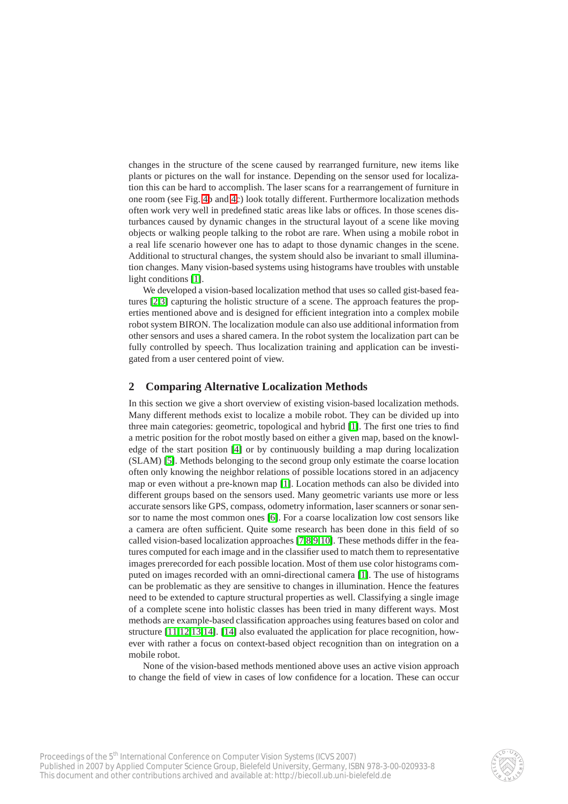changes in the structure of the scene caused by rearranged furniture, new items like plants or pictures on the wall for instance. Depending on the sensor used for localization this can be hard to accomplish. The laser scans for a rearrangement of furniture in one room (see Fig. [4b](#page-7-0) and [4c](#page-7-0)) look totally different. Furthermore localization methods often work very well in predefined static areas like labs or offices. In those scenes disturbances caused by dynamic changes in the structural layout of a scene like moving objects or walking people talking to the robot are rare. When using a mobile robot in a real life scenario however one has to adapt to those dynamic changes in the scene. Additional to structural changes, the system should also be invariant to small illumination changes. Many vision-based systems using histograms have troubles with unstable light conditions [\[1\]](#page-8-0).

We developed a vision-based localization method that uses so called gist-based features [\[2](#page-8-1)[,3\]](#page-8-2) capturing the holistic structure of a scene. The approach features the properties mentioned above and is designed for efficient integration into a complex mobile robot system BIRON. The localization module can also use additional information from other sensors and uses a shared camera. In the robot system the localization part can be fully controlled by speech. Thus localization training and application can be investigated from a user centered point of view.

## **2 Comparing Alternative Localization Methods**

In this section we give a short overview of existing vision-based localization methods. Many different methods exist to localize a mobile robot. They can be divided up into three main categories: geometric, topological and hybrid [\[1\]](#page-8-0). The first one tries to find a metric position for the robot mostly based on either a given map, based on the knowledge of the start position [\[4\]](#page-8-3) or by continuously building a map during localization (SLAM) [\[5\]](#page-8-4). Methods belonging to the second group only estimate the coarse location often only knowing the neighbor relations of possible locations stored in an adjacency map or even without a pre-known map [\[1\]](#page-8-0). Location methods can also be divided into different groups based on the sensors used. Many geometric variants use more or less accurate sensors like GPS, compass, odometry information, laser scanners or sonar sensor to name the most common ones [\[6\]](#page-8-5). For a coarse localization low cost sensors like a camera are often sufficient. Quite some research has been done in this field of so called vision-based localization approaches [\[7,](#page-8-6)[8,](#page-9-0)[9,](#page-9-1)[10\]](#page-9-2). These methods differ in the features computed for each image and in the classifier used to match them to representative images prerecorded for each possible location. Most of them use color histograms computed on images recorded with an omni-directional camera [\[1\]](#page-8-0). The use of histograms can be problematic as they are sensitive to changes in illumination. Hence the features need to be extended to capture structural properties as well. Classifying a single image of a complete scene into holistic classes has been tried in many different ways. Most methods are example-based classification approaches using features based on color and structure [\[11,](#page-9-3)[12,](#page-9-4)[13](#page-9-5)[,14\]](#page-9-6). [\[14\]](#page-9-6) also evaluated the application for place recognition, however with rather a focus on context-based object recognition than on integration on a mobile robot.

None of the vision-based methods mentioned above uses an active vision approach to change the field of view in cases of low confidence for a location. These can occur

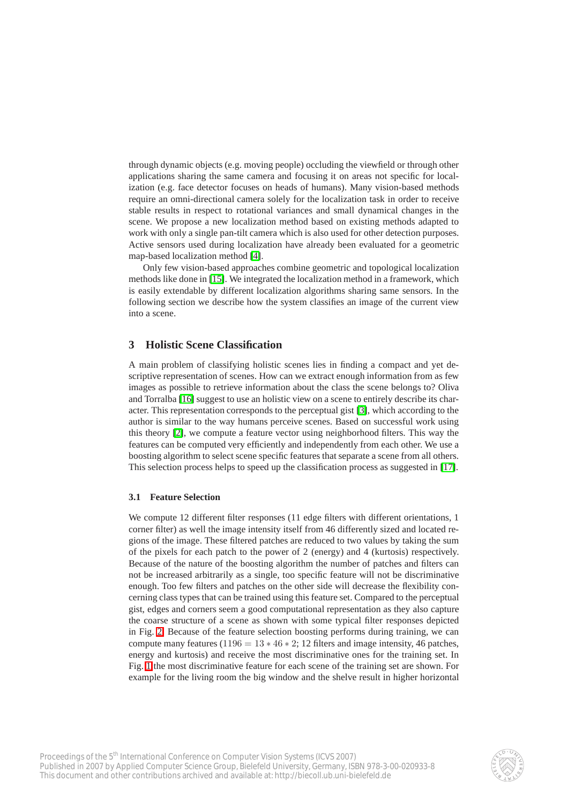through dynamic objects (e.g. moving people) occluding the viewfield or through other applications sharing the same camera and focusing it on areas not specific for localization (e.g. face detector focuses on heads of humans). Many vision-based methods require an omni-directional camera solely for the localization task in order to receive stable results in respect to rotational variances and small dynamical changes in the scene. We propose a new localization method based on existing methods adapted to work with only a single pan-tilt camera which is also used for other detection purposes. Active sensors used during localization have already been evaluated for a geometric map-based localization method [\[4\]](#page-8-3).

Only few vision-based approaches combine geometric and topological localization methods like done in [\[15\]](#page-9-7). We integrated the localization method in a framework, which is easily extendable by different localization algorithms sharing same sensors. In the following section we describe how the system classifies an image of the current view into a scene.

## <span id="page-2-0"></span>**3 Holistic Scene Classification**

A main problem of classifying holistic scenes lies in finding a compact and yet descriptive representation of scenes. How can we extract enough information from as few images as possible to retrieve information about the class the scene belongs to? Oliva and Torralba [\[16\]](#page-9-8) suggest to use an holistic view on a scene to entirely describe its character. This representation corresponds to the perceptual gist [\[3\]](#page-8-2), which according to the author is similar to the way humans perceive scenes. Based on successful work using this theory [\[2\]](#page-8-1), we compute a feature vector using neighborhood filters. This way the features can be computed very efficiently and independently from each other. We use a boosting algorithm to select scene specific features that separate a scene from all others. This selection process helps to speed up the classification process as suggested in [\[17\]](#page-9-9).

#### **3.1 Feature Selection**

We compute 12 different filter responses (11 edge filters with different orientations, 1 corner filter) as well the image intensity itself from 46 differently sized and located regions of the image. These filtered patches are reduced to two values by taking the sum of the pixels for each patch to the power of 2 (energy) and 4 (kurtosis) respectively. Because of the nature of the boosting algorithm the number of patches and filters can not be increased arbitrarily as a single, too specific feature will not be discriminative enough. Too few filters and patches on the other side will decrease the flexibility concerning class types that can be trained using this feature set. Compared to the perceptual gist, edges and corners seem a good computational representation as they also capture the coarse structure of a scene as shown with some typical filter responses depicted in Fig. [2.](#page-3-0) Because of the feature selection boosting performs during training, we can compute many features (1196 =  $13 * 46 * 2$ ; 12 filters and image intensity, 46 patches, energy and kurtosis) and receive the most discriminative ones for the training set. In Fig. [1](#page-3-1) the most discriminative feature for each scene of the training set are shown. For example for the living room the big window and the shelve result in higher horizontal

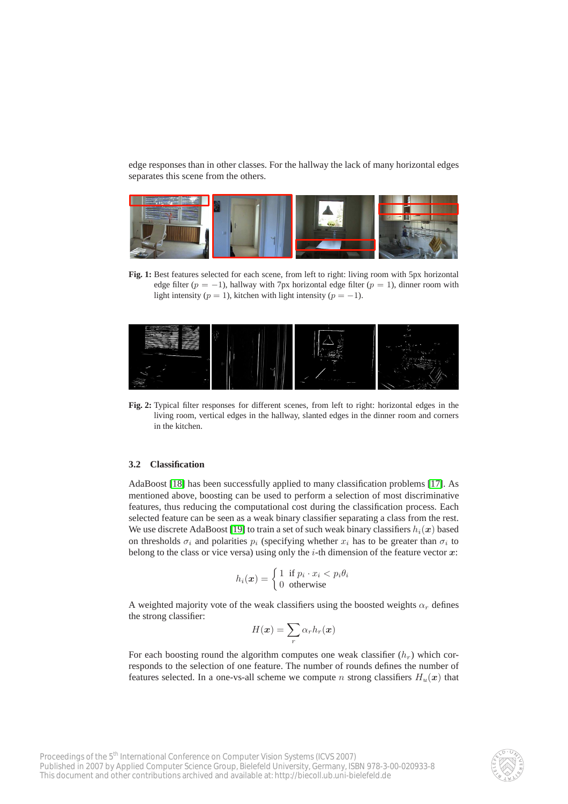edge responses than in other classes. For the hallway the lack of many horizontal edges separates this scene from the others.



**Fig. 1:** Best features selected for each scene, from left to right: living room with 5px horizontal edge filter ( $p = -1$ ), hallway with 7px horizontal edge filter ( $p = 1$ ), dinner room with light intensity ( $p = 1$ ), kitchen with light intensity ( $p = -1$ ).

<span id="page-3-1"></span>

<span id="page-3-0"></span>**Fig. 2:** Typical filter responses for different scenes, from left to right: horizontal edges in the living room, vertical edges in the hallway, slanted edges in the dinner room and corners in the kitchen.

## **3.2 Classification**

AdaBoost [\[18\]](#page-9-10) has been successfully applied to many classification problems [\[17\]](#page-9-9). As mentioned above, boosting can be used to perform a selection of most discriminative features, thus reducing the computational cost during the classification process. Each selected feature can be seen as a weak binary classifier separating a class from the rest. We use discrete AdaBoost [\[19\]](#page-9-11) to train a set of such weak binary classifiers  $h_i(x)$  based on thresholds  $\sigma_i$  and polarities  $p_i$  (specifying whether  $x_i$  has to be greater than  $\sigma_i$  to belong to the class or vice versa) using only the *i*-th dimension of the feature vector  $x$ :

$$
h_i(\boldsymbol{x}) = \begin{cases} 1 & \text{if } p_i \cdot x_i < p_i \theta_i \\ 0 & \text{otherwise} \end{cases}
$$

A weighted majority vote of the weak classifiers using the boosted weights  $\alpha_r$  defines the strong classifier:

$$
H(\boldsymbol{x}) = \sum_r \alpha_r h_r(\boldsymbol{x})
$$

For each boosting round the algorithm computes one weak classifier  $(h_r)$  which corresponds to the selection of one feature. The number of rounds defines the number of features selected. In a one-vs-all scheme we compute n strong classifiers  $H_u(x)$  that

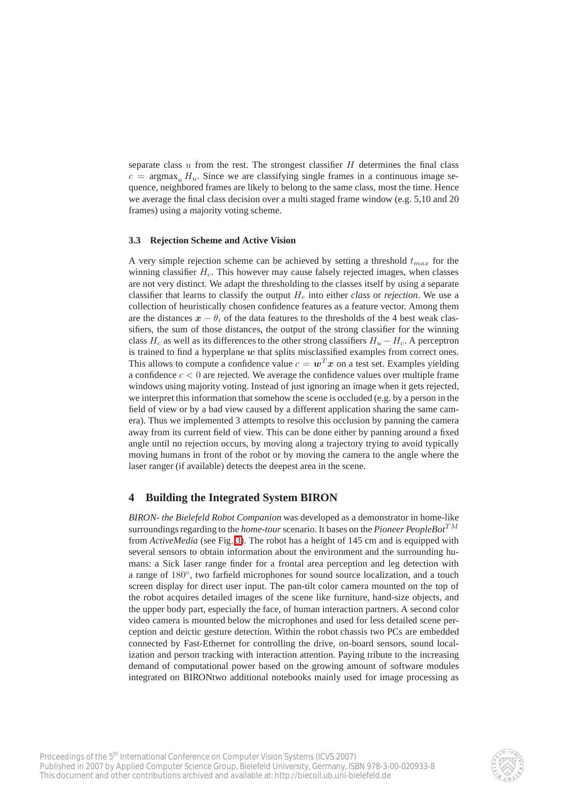separate class  $u$  from the rest. The strongest classifier  $H$  determines the final class  $c = \text{argmax}_{y} H_y$ . Since we are classifying single frames in a continuous image sequence, neighbored frames are likely to belong to the same class, most the time. Hence we average the final class decision over a multi staged frame window (e.g. 5,10 and 20 frames) using a majority voting scheme.

#### **3.3 Rejection Scheme and Active Vision**

A very simple rejection scheme can be achieved by setting a threshold  $t_{max}$  for the winning classifier  $H_c$ . This however may cause falsely rejected images, when classes are not very distinct. We adapt the thresholding to the classes itself by using a separate classifier that learns to classify the output  $H_c$  into either *class* or *rejection*. We use a collection of heuristically chosen confidence features as a feature vector. Among them are the distances  $x - \theta_i$  of the data features to the thresholds of the 4 best weak classifiers, the sum of those distances, the output of the strong classifier for the winning class  $H_c$  as well as its differences to the other strong classifiers  $H_u - H_c$ . A perceptron is trained to find a hyperplane  $w$  that splits misclassified examples from correct ones. This allows to compute a confidence value  $c = \mathbf{w}^T \mathbf{x}$  on a test set. Examples yielding a confidence  $c < 0$  are rejected. We average the confidence values over multiple frame windows using majority voting. Instead of just ignoring an image when it gets rejected, we interpret this information that somehow the scene is occluded (e.g. by a person in the field of view or by a bad view caused by a different application sharing the same camera). Thus we implemented 3 attempts to resolve this occlusion by panning the camera away from its current field of view. This can be done either by panning around a fixed angle until no rejection occurs, by moving along a trajectory trying to avoid typically moving humans in front of the robot or by moving the camera to the angle where the laser ranger (if available) detects the deepest area in the scene.

# **4 Building the Integrated System BIRON**

*BIRON- the Bielefeld Robot Companion* was developed as a demonstrator in home-like surroundings regarding to the *home-tour* scenario. It bases on the *Pioneer PeopleBot*<sup>TM</sup> from *ActiveMedia* (see Fig. [3\)](#page-5-0). The robot has a height of 145 cm and is equipped with several sensors to obtain information about the environment and the surrounding humans: a Sick laser range finder for a frontal area perception and leg detection with a range of 180°, two farfield microphones for sound source localization, and a touch screen display for direct user input. The pan-tilt color camera mounted on the top of the robot acquires detailed images of the scene like furniture, hand-size objects, and the upper body part, especially the face, of human interaction partners. A second color video camera is mounted below the microphones and used for less detailed scene perception and deictic gesture detection. Within the robot chassis two PCs are embedded connected by Fast-Ethernet for controlling the drive, on-board sensors, sound localization and person tracking with interaction attention. Paying tribute to the increasing demand of computational power based on the growing amount of software modules integrated on BIRONtwo additional notebooks mainly used for image processing as

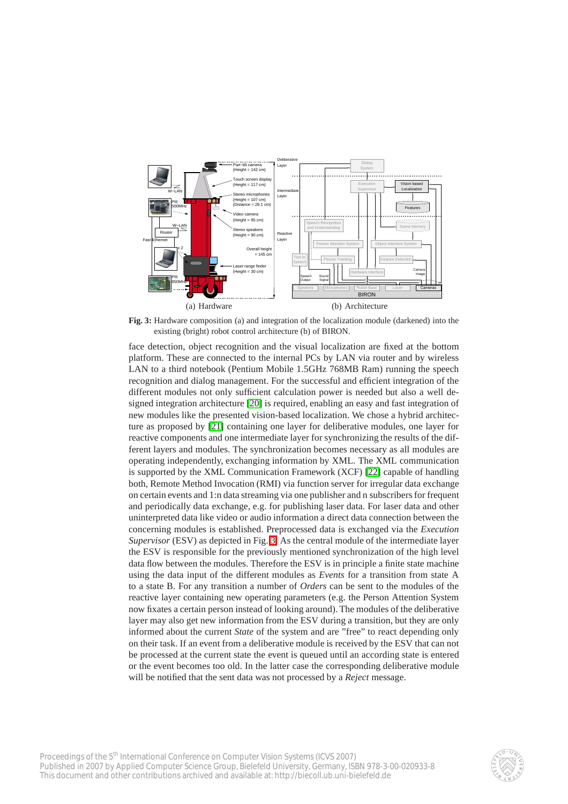

<span id="page-5-0"></span>**Fig. 3:** Hardware composition (a) and integration of the localization module (darkened) into the existing (bright) robot control architecture (b) of BIRON.

face detection, object recognition and the visual localization are fixed at the bottom platform. These are connected to the internal PCs by LAN via router and by wireless LAN to a third notebook (Pentium Mobile 1.5GHz 768MB Ram) running the speech recognition and dialog management. For the successful and efficient integration of the different modules not only sufficient calculation power is needed but also a well designed integration architecture [\[20\]](#page-9-12) is required, enabling an easy and fast integration of new modules like the presented vision-based localization. We chose a hybrid architecture as proposed by [\[21\]](#page-9-13) containing one layer for deliberative modules, one layer for reactive components and one intermediate layer for synchronizing the results of the different layers and modules. The synchronization becomes necessary as all modules are operating independently, exchanging information by XML. The XML communication is supported by the XML Communication Framework (XCF) [\[22\]](#page-9-14) capable of handling both, Remote Method Invocation (RMI) via function server for irregular data exchange on certain events and 1:n data streaming via one publisher and n subscribers for frequent and periodically data exchange, e.g. for publishing laser data. For laser data and other uninterpreted data like video or audio information a direct data connection between the concerning modules is established. Preprocessed data is exchanged via the *Execution Supervisor* (ESV) as depicted in Fig. [3.](#page-5-0) As the central module of the intermediate layer the ESV is responsible for the previously mentioned synchronization of the high level data flow between the modules. Therefore the ESV is in principle a finite state machine using the data input of the different modules as *Events* for a transition from state A to a state B. For any transition a number of *Orders* can be sent to the modules of the reactive layer containing new operating parameters (e.g. the Person Attention System now fixates a certain person instead of looking around). The modules of the deliberative layer may also get new information from the ESV during a transition, but they are only informed about the current *State* of the system and are "free" to react depending only on their task. If an event from a deliberative module is received by the ESV that can not be processed at the current state the event is queued until an according state is entered or the event becomes too old. In the latter case the corresponding deliberative module will be notified that the sent data was not processed by a *Reject* message.

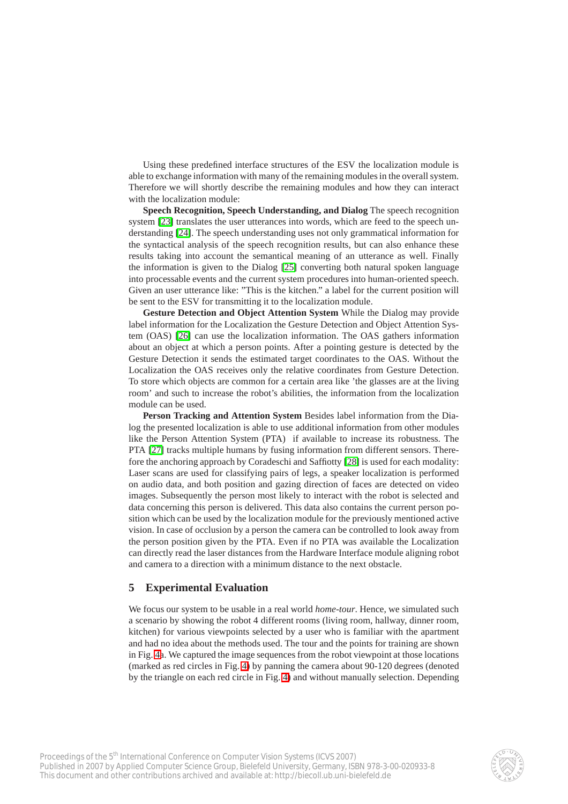Using these predefined interface structures of the ESV the localization module is able to exchange information with many of the remaining modules in the overall system. Therefore we will shortly describe the remaining modules and how they can interact with the localization module:

**Speech Recognition, Speech Understanding, and Dialog** The speech recognition system [\[23\]](#page-9-15) translates the user utterances into words, which are feed to the speech understanding [\[24\]](#page-9-16). The speech understanding uses not only grammatical information for the syntactical analysis of the speech recognition results, but can also enhance these results taking into account the semantical meaning of an utterance as well. Finally the information is given to the Dialog [\[25\]](#page-9-17) converting both natural spoken language into processable events and the current system procedures into human-oriented speech. Given an user utterance like: "This is the kitchen." a label for the current position will be sent to the ESV for transmitting it to the localization module.

**Gesture Detection and Object Attention System** While the Dialog may provide label information for the Localization the Gesture Detection and Object Attention System (OAS) [\[26\]](#page-9-18) can use the localization information. The OAS gathers information about an object at which a person points. After a pointing gesture is detected by the Gesture Detection it sends the estimated target coordinates to the OAS. Without the Localization the OAS receives only the relative coordinates from Gesture Detection. To store which objects are common for a certain area like 'the glasses are at the living room' and such to increase the robot's abilities, the information from the localization module can be used.

**Person Tracking and Attention System** Besides label information from the Dialog the presented localization is able to use additional information from other modules like the Person Attention System (PTA) if available to increase its robustness. The PTA [\[27\]](#page-9-19) tracks multiple humans by fusing information from different sensors. Therefore the anchoring approach by Coradeschi and Saffiotty [\[28\]](#page-9-20) is used for each modality: Laser scans are used for classifying pairs of legs, a speaker localization is performed on audio data, and both position and gazing direction of faces are detected on video images. Subsequently the person most likely to interact with the robot is selected and data concerning this person is delivered. This data also contains the current person position which can be used by the localization module for the previously mentioned active vision. In case of occlusion by a person the camera can be controlled to look away from the person position given by the PTA. Even if no PTA was available the Localization can directly read the laser distances from the Hardware Interface module aligning robot and camera to a direction with a minimum distance to the next obstacle.

# **5 Experimental Evaluation**

We focus our system to be usable in a real world *home-tour*. Hence, we simulated such a scenario by showing the robot 4 different rooms (living room, hallway, dinner room, kitchen) for various viewpoints selected by a user who is familiar with the apartment and had no idea about the methods used. The tour and the points for training are shown in Fig. [4a](#page-7-0). We captured the image sequences from the robot viewpoint at those locations (marked as red circles in Fig. [4\)](#page-7-0) by panning the camera about 90-120 degrees (denoted by the triangle on each red circle in Fig. [4\)](#page-7-0) and without manually selection. Depending

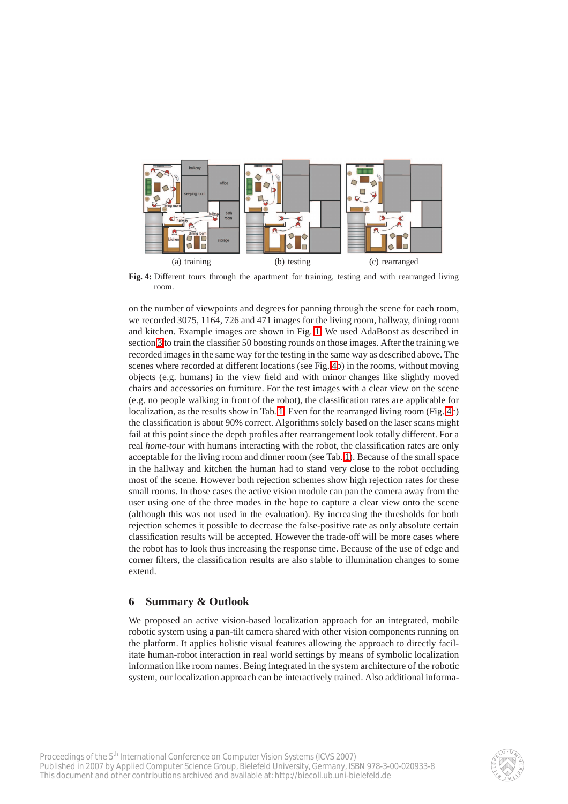

<span id="page-7-0"></span>**Fig. 4:** Different tours through the apartment for training, testing and with rearranged living room.

on the number of viewpoints and degrees for panning through the scene for each room, we recorded 3075, 1164, 726 and 471 images for the living room, hallway, dining room and kitchen. Example images are shown in Fig. [1.](#page-3-1) We used AdaBoost as described in section [3](#page-2-0) to train the classifier 50 boosting rounds on those images. After the training we recorded images in the same way for the testing in the same way as described above. The scenes where recorded at different locations (see Fig. [4b](#page-7-0)) in the rooms, without moving objects (e.g. humans) in the view field and with minor changes like slightly moved chairs and accessories on furniture. For the test images with a clear view on the scene (e.g. no people walking in front of the robot), the classification rates are applicable for localization, as the results show in Tab. [1.](#page-8-7) Even for the rearranged living room (Fig. [4c](#page-7-0)) the classification is about 90% correct. Algorithms solely based on the laser scans might fail at this point since the depth profiles after rearrangement look totally different. For a real *home-tour* with humans interacting with the robot, the classification rates are only acceptable for the living room and dinner room (see Tab. [1\)](#page-8-7). Because of the small space in the hallway and kitchen the human had to stand very close to the robot occluding most of the scene. However both rejection schemes show high rejection rates for these small rooms. In those cases the active vision module can pan the camera away from the user using one of the three modes in the hope to capture a clear view onto the scene (although this was not used in the evaluation). By increasing the thresholds for both rejection schemes it possible to decrease the false-positive rate as only absolute certain classification results will be accepted. However the trade-off will be more cases where the robot has to look thus increasing the response time. Because of the use of edge and corner filters, the classification results are also stable to illumination changes to some extend.

# **6 Summary & Outlook**

We proposed an active vision-based localization approach for an integrated, mobile robotic system using a pan-tilt camera shared with other vision components running on the platform. It applies holistic visual features allowing the approach to directly facilitate human-robot interaction in real world settings by means of symbolic localization information like room names. Being integrated in the system architecture of the robotic system, our localization approach can be interactively trained. Also additional informa-

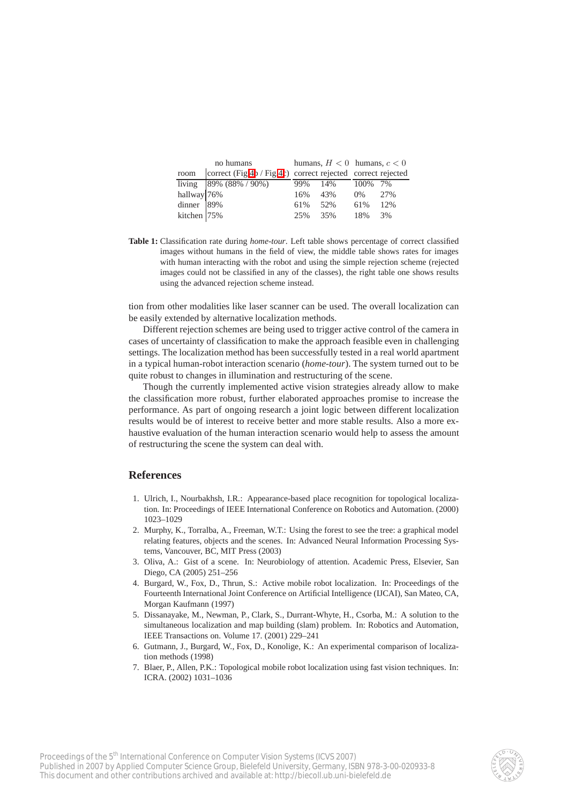| no humans   |                                                                    | humans, $H < 0$ humans, $c < 0$ |                 |       |     |
|-------------|--------------------------------------------------------------------|---------------------------------|-----------------|-------|-----|
|             | room   correct (Fig.4b / Fig.4c) correct rejected correct rejected |                                 |                 |       |     |
|             | living $89\% (88\% / 90\%)$                                        |                                 | 99% 14% 100% 7% |       |     |
| hallway 76% |                                                                    | 16%                             | 43%             | $0\%$ | 27% |
| dinner 89%  |                                                                    | 61%                             | 52%             | 61%   | 12% |
| kitchen 75% |                                                                    | 25%                             | 35%             | 18%   | 3%  |

<span id="page-8-7"></span>**Table 1:** Classification rate during *home-tour*. Left table shows percentage of correct classified images without humans in the field of view, the middle table shows rates for images with human interacting with the robot and using the simple rejection scheme (rejected images could not be classified in any of the classes), the right table one shows results using the advanced rejection scheme instead.

tion from other modalities like laser scanner can be used. The overall localization can be easily extended by alternative localization methods.

Different rejection schemes are being used to trigger active control of the camera in cases of uncertainty of classification to make the approach feasible even in challenging settings. The localization method has been successfully tested in a real world apartment in a typical human-robot interaction scenario (*home-tour*). The system turned out to be quite robust to changes in illumination and restructuring of the scene.

Though the currently implemented active vision strategies already allow to make the classification more robust, further elaborated approaches promise to increase the performance. As part of ongoing research a joint logic between different localization results would be of interest to receive better and more stable results. Also a more exhaustive evaluation of the human interaction scenario would help to assess the amount of restructuring the scene the system can deal with.

# <span id="page-8-0"></span>**References**

- 1. Ulrich, I., Nourbakhsh, I.R.: Appearance-based place recognition for topological localization. In: Proceedings of IEEE International Conference on Robotics and Automation. (2000) 1023–1029
- <span id="page-8-1"></span>2. Murphy, K., Torralba, A., Freeman, W.T.: Using the forest to see the tree: a graphical model relating features, objects and the scenes. In: Advanced Neural Information Processing Systems, Vancouver, BC, MIT Press (2003)
- <span id="page-8-2"></span>3. Oliva, A.: Gist of a scene. In: Neurobiology of attention. Academic Press, Elsevier, San Diego, CA (2005) 251–256
- <span id="page-8-3"></span>4. Burgard, W., Fox, D., Thrun, S.: Active mobile robot localization. In: Proceedings of the Fourteenth International Joint Conference on Artificial Intelligence (IJCAI), San Mateo, CA, Morgan Kaufmann (1997)
- <span id="page-8-4"></span>5. Dissanayake, M., Newman, P., Clark, S., Durrant-Whyte, H., Csorba, M.: A solution to the simultaneous localization and map building (slam) problem. In: Robotics and Automation, IEEE Transactions on. Volume 17. (2001) 229–241
- <span id="page-8-5"></span>6. Gutmann, J., Burgard, W., Fox, D., Konolige, K.: An experimental comparison of localization methods (1998)
- <span id="page-8-6"></span>7. Blaer, P., Allen, P.K.: Topological mobile robot localization using fast vision techniques. In: ICRA. (2002) 1031–1036